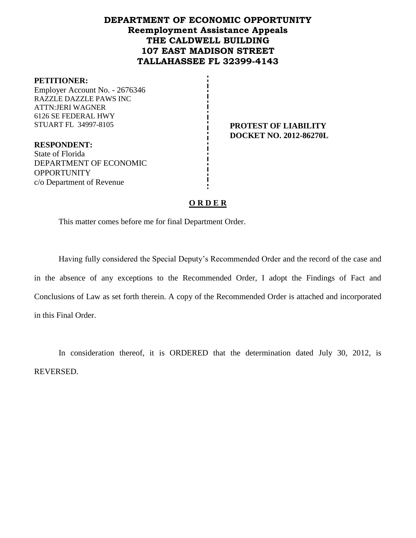## **DEPARTMENT OF ECONOMIC OPPORTUNITY Reemployment Assistance Appeals THE CALDWELL BUILDING 107 EAST MADISON STREET TALLAHASSEE FL 32399-4143**

#### **PETITIONER:**

Employer Account No. - 2676346 RAZZLE DAZZLE PAWS INC ATTN:JERI WAGNER 6126 SE FEDERAL HWY STUART FL 34997-8105 **PROTEST OF LIABILITY** 

**DOCKET NO. 2012-86270L**

**RESPONDENT:** State of Florida DEPARTMENT OF ECONOMIC **OPPORTUNITY** c/o Department of Revenue

## **O R D E R**

This matter comes before me for final Department Order.

Having fully considered the Special Deputy's Recommended Order and the record of the case and in the absence of any exceptions to the Recommended Order, I adopt the Findings of Fact and Conclusions of Law as set forth therein. A copy of the Recommended Order is attached and incorporated in this Final Order.

In consideration thereof, it is ORDERED that the determination dated July 30, 2012, is REVERSED.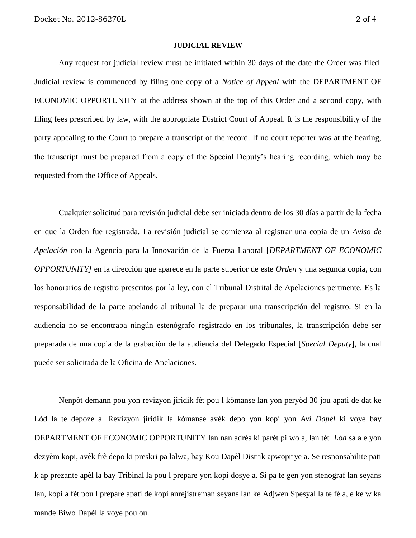#### **JUDICIAL REVIEW**

Any request for judicial review must be initiated within 30 days of the date the Order was filed. Judicial review is commenced by filing one copy of a *Notice of Appeal* with the DEPARTMENT OF ECONOMIC OPPORTUNITY at the address shown at the top of this Order and a second copy, with filing fees prescribed by law, with the appropriate District Court of Appeal. It is the responsibility of the party appealing to the Court to prepare a transcript of the record. If no court reporter was at the hearing, the transcript must be prepared from a copy of the Special Deputy's hearing recording, which may be requested from the Office of Appeals.

Cualquier solicitud para revisión judicial debe ser iniciada dentro de los 30 días a partir de la fecha en que la Orden fue registrada. La revisión judicial se comienza al registrar una copia de un *Aviso de Apelación* con la Agencia para la Innovación de la Fuerza Laboral [*DEPARTMENT OF ECONOMIC OPPORTUNITY]* en la dirección que aparece en la parte superior de este *Orden* y una segunda copia, con los honorarios de registro prescritos por la ley, con el Tribunal Distrital de Apelaciones pertinente. Es la responsabilidad de la parte apelando al tribunal la de preparar una transcripción del registro. Si en la audiencia no se encontraba ningún estenógrafo registrado en los tribunales, la transcripción debe ser preparada de una copia de la grabación de la audiencia del Delegado Especial [*Special Deputy*], la cual puede ser solicitada de la Oficina de Apelaciones.

Nenpòt demann pou yon revizyon jiridik fèt pou l kòmanse lan yon peryòd 30 jou apati de dat ke Lòd la te depoze a. Revizyon jiridik la kòmanse avèk depo yon kopi yon *Avi Dapèl* ki voye bay DEPARTMENT OF ECONOMIC OPPORTUNITY lan nan adrès ki parèt pi wo a, lan tèt *Lòd* sa a e yon dezyèm kopi, avèk frè depo ki preskri pa lalwa, bay Kou Dapèl Distrik apwopriye a. Se responsabilite pati k ap prezante apèl la bay Tribinal la pou l prepare yon kopi dosye a. Si pa te gen yon stenograf lan seyans lan, kopi a fèt pou l prepare apati de kopi anrejistreman seyans lan ke Adjwen Spesyal la te fè a, e ke w ka mande Biwo Dapèl la voye pou ou.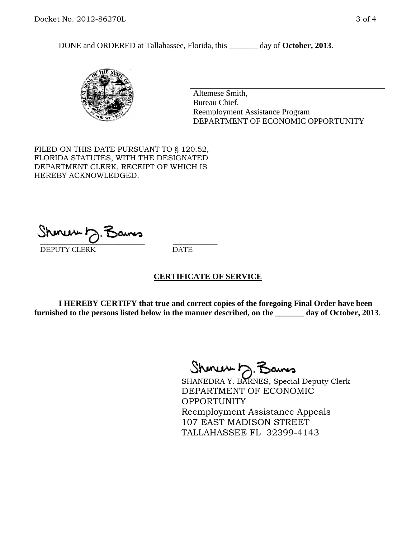DONE and ORDERED at Tallahassee, Florida, this day of October, 2013.



Altemese Smith, Bureau Chief, Reemployment Assistance Program DEPARTMENT OF ECONOMIC OPPORTUNITY

FILED ON THIS DATE PURSUANT TO § 120.52, FLORIDA STATUTES, WITH THE DESIGNATED DEPARTMENT CLERK, RECEIPT OF WHICH IS HEREBY ACKNOWLEDGED.

 $\overline{\phantom{a}}$  ,  $\overline{\phantom{a}}$  ,  $\overline{\phantom{a}}$  ,  $\overline{\phantom{a}}$  ,  $\overline{\phantom{a}}$  ,  $\overline{\phantom{a}}$  ,  $\overline{\phantom{a}}$  ,  $\overline{\phantom{a}}$  ,  $\overline{\phantom{a}}$  ,  $\overline{\phantom{a}}$  ,  $\overline{\phantom{a}}$  ,  $\overline{\phantom{a}}$  ,  $\overline{\phantom{a}}$  ,  $\overline{\phantom{a}}$  ,  $\overline{\phantom{a}}$  ,  $\overline{\phantom{a}}$ DEPUTY CLERK DATE

## **CERTIFICATE OF SERVICE**

**I HEREBY CERTIFY that true and correct copies of the foregoing Final Order have been furnished to the persons listed below in the manner described, on the \_\_\_\_\_\_\_ day of October, 2013**.

Shinew b.F

SHANEDRA Y. BARNES, Special Deputy Clerk DEPARTMENT OF ECONOMIC **OPPORTUNITY** Reemployment Assistance Appeals 107 EAST MADISON STREET TALLAHASSEE FL 32399-4143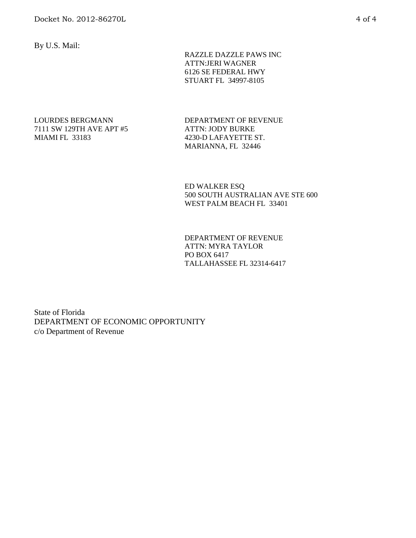By U.S. Mail:

 RAZZLE DAZZLE PAWS INC ATTN:JERI WAGNER 6126 SE FEDERAL HWY STUART FL 34997-8105

## LOURDES BERGMANN 7111 SW 129TH AVE APT #5 MIAMI FL 33183

DEPARTMENT OF REVENUE ATTN: JODY BURKE 4230-D LAFAYETTE ST. MARIANNA, FL 32446

ED WALKER ESQ 500 SOUTH AUSTRALIAN AVE STE 600 WEST PALM BEACH FL 33401

DEPARTMENT OF REVENUE ATTN: MYRA TAYLOR PO BOX 6417 TALLAHASSEE FL 32314-6417

State of Florida DEPARTMENT OF ECONOMIC OPPORTUNITY c/o Department of Revenue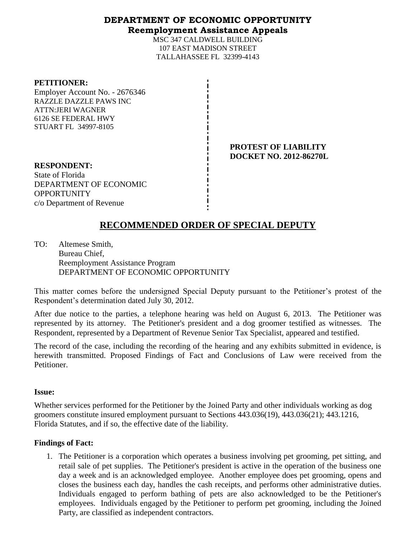## **DEPARTMENT OF ECONOMIC OPPORTUNITY Reemployment Assistance Appeals**

MSC 347 CALDWELL BUILDING 107 EAST MADISON STREET TALLAHASSEE FL 32399-4143

#### **PETITIONER:**

Employer Account No. - 2676346 RAZZLE DAZZLE PAWS INC ATTN:JERI WAGNER 6126 SE FEDERAL HWY STUART FL 34997-8105

> **PROTEST OF LIABILITY DOCKET NO. 2012-86270L**

**RESPONDENT:** State of Florida DEPARTMENT OF ECONOMIC **OPPORTUNITY** c/o Department of Revenue

# **RECOMMENDED ORDER OF SPECIAL DEPUTY**

TO: Altemese Smith, Bureau Chief, Reemployment Assistance Program DEPARTMENT OF ECONOMIC OPPORTUNITY

This matter comes before the undersigned Special Deputy pursuant to the Petitioner's protest of the Respondent's determination dated July 30, 2012.

After due notice to the parties, a telephone hearing was held on August 6, 2013. The Petitioner was represented by its attorney. The Petitioner's president and a dog groomer testified as witnesses. The Respondent, represented by a Department of Revenue Senior Tax Specialist, appeared and testified.

The record of the case, including the recording of the hearing and any exhibits submitted in evidence, is herewith transmitted. Proposed Findings of Fact and Conclusions of Law were received from the Petitioner.

## **Issue:**

Whether services performed for the Petitioner by the Joined Party and other individuals working as dog groomers constitute insured employment pursuant to Sections 443.036(19), 443.036(21); 443.1216, Florida Statutes, and if so, the effective date of the liability.

## **Findings of Fact:**

1. The Petitioner is a corporation which operates a business involving pet grooming, pet sitting, and retail sale of pet supplies. The Petitioner's president is active in the operation of the business one day a week and is an acknowledged employee. Another employee does pet grooming, opens and closes the business each day, handles the cash receipts, and performs other administrative duties. Individuals engaged to perform bathing of pets are also acknowledged to be the Petitioner's employees. Individuals engaged by the Petitioner to perform pet grooming, including the Joined Party, are classified as independent contractors.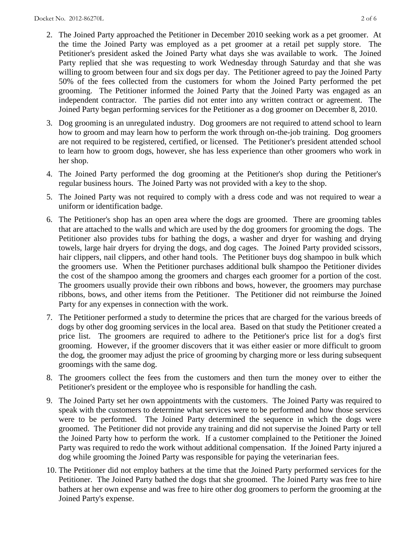- 2. The Joined Party approached the Petitioner in December 2010 seeking work as a pet groomer. At the time the Joined Party was employed as a pet groomer at a retail pet supply store. The Petitioner's president asked the Joined Party what days she was available to work. The Joined Party replied that she was requesting to work Wednesday through Saturday and that she was willing to groom between four and six dogs per day. The Petitioner agreed to pay the Joined Party 50% of the fees collected from the customers for whom the Joined Party performed the pet grooming. The Petitioner informed the Joined Party that the Joined Party was engaged as an independent contractor. The parties did not enter into any written contract or agreement. The Joined Party began performing services for the Petitioner as a dog groomer on December 8, 2010.
- 3. Dog grooming is an unregulated industry. Dog groomers are not required to attend school to learn how to groom and may learn how to perform the work through on-the-job training. Dog groomers are not required to be registered, certified, or licensed. The Petitioner's president attended school to learn how to groom dogs, however, she has less experience than other groomers who work in her shop.
- 4. The Joined Party performed the dog grooming at the Petitioner's shop during the Petitioner's regular business hours. The Joined Party was not provided with a key to the shop.
- 5. The Joined Party was not required to comply with a dress code and was not required to wear a uniform or identification badge.
- 6. The Petitioner's shop has an open area where the dogs are groomed. There are grooming tables that are attached to the walls and which are used by the dog groomers for grooming the dogs. The Petitioner also provides tubs for bathing the dogs, a washer and dryer for washing and drying towels, large hair dryers for drying the dogs, and dog cages. The Joined Party provided scissors, hair clippers, nail clippers, and other hand tools. The Petitioner buys dog shampoo in bulk which the groomers use. When the Petitioner purchases additional bulk shampoo the Petitioner divides the cost of the shampoo among the groomers and charges each groomer for a portion of the cost. The groomers usually provide their own ribbons and bows, however, the groomers may purchase ribbons, bows, and other items from the Petitioner. The Petitioner did not reimburse the Joined Party for any expenses in connection with the work.
- 7. The Petitioner performed a study to determine the prices that are charged for the various breeds of dogs by other dog grooming services in the local area. Based on that study the Petitioner created a price list. The groomers are required to adhere to the Petitioner's price list for a dog's first grooming. However, if the groomer discovers that it was either easier or more difficult to groom the dog, the groomer may adjust the price of grooming by charging more or less during subsequent groomings with the same dog.
- 8. The groomers collect the fees from the customers and then turn the money over to either the Petitioner's president or the employee who is responsible for handling the cash.
- 9. The Joined Party set her own appointments with the customers. The Joined Party was required to speak with the customers to determine what services were to be performed and how those services were to be performed. The Joined Party determined the sequence in which the dogs were groomed. The Petitioner did not provide any training and did not supervise the Joined Party or tell the Joined Party how to perform the work. If a customer complained to the Petitioner the Joined Party was required to redo the work without additional compensation. If the Joined Party injured a dog while grooming the Joined Party was responsible for paying the veterinarian fees.
- 10. The Petitioner did not employ bathers at the time that the Joined Party performed services for the Petitioner. The Joined Party bathed the dogs that she groomed. The Joined Party was free to hire bathers at her own expense and was free to hire other dog groomers to perform the grooming at the Joined Party's expense.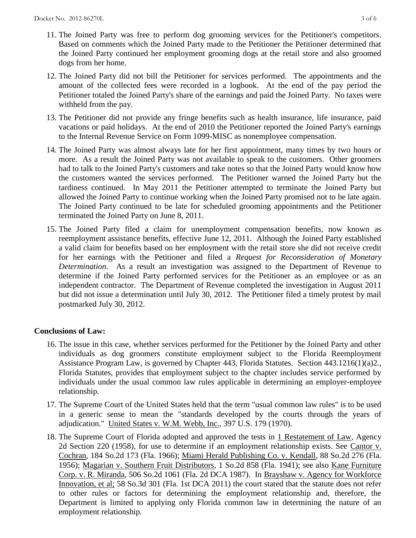- 11. The Joined Party was free to perform dog grooming services for the Petitioner's competitors. Based on comments which the Joined Party made to the Petitioner the Petitioner determined that the Joined Party continued her employment grooming dogs at the retail store and also groomed dogs from her home.
- 12. The Joined Party did not bill the Petitioner for services performed. The appointments and the amount of the collected fees were recorded in a logbook. At the end of the pay period the Petitioner totaled the Joined Party's share of the earnings and paid the Joined Party. No taxes were withheld from the pay.
- 13. The Petitioner did not provide any fringe benefits such as health insurance, life insurance, paid vacations or paid holidays. At the end of 2010 the Petitioner reported the Joined Party's earnings to the Internal Revenue Service on Form 1099-MISC as nonemployee compensation.
- 14. The Joined Party was almost always late for her first appointment, many times by two hours or more. As a result the Joined Party was not available to speak to the customers. Other groomers had to talk to the Joined Party's customers and take notes so that the Joined Party would know how the customers wanted the services performed. The Petitioner warned the Joined Party but the tardiness continued. In May 2011 the Petitioner attempted to terminate the Joined Party but allowed the Joined Party to continue working when the Joined Party promised not to be late again. The Joined Party continued to be late for scheduled grooming appointments and the Petitioner terminated the Joined Party on June 8, 2011.
- 15. The Joined Party filed a claim for unemployment compensation benefits, now known as reemployment assistance benefits, effective June 12, 2011. Although the Joined Party established a valid claim for benefits based on her employment with the retail store she did not receive credit for her earnings with the Petitioner and filed a *Request for Reconsideration of Monetary Determination*. As a result an investigation was assigned to the Department of Revenue to determine if the Joined Party performed services for the Petitioner as an employee or as an independent contractor. The Department of Revenue completed the investigation in August 2011 but did not issue a determination until July 30, 2012. The Petitioner filed a timely protest by mail postmarked July 30, 2012.

## **Conclusions of Law:**

- 16. The issue in this case, whether services performed for the Petitioner by the Joined Party and other individuals as dog groomers constitute employment subject to the Florida Reemployment Assistance Program Law, is governed by Chapter 443, Florida Statutes. Section 443.1216(1)(a)2., Florida Statutes, provides that employment subject to the chapter includes service performed by individuals under the usual common law rules applicable in determining an employer-employee relationship.
- 17. The Supreme Court of the United States held that the term "usual common law rules" is to be used in a generic sense to mean the "standards developed by the courts through the years of adjudication." United States v. W.M. Webb, Inc., 397 U.S. 179 (1970).
- 18. The Supreme Court of Florida adopted and approved the tests in 1 Restatement of Law, Agency 2d Section 220 (1958), for use to determine if an employment relationship exists. See Cantor v. Cochran, 184 So.2d 173 (Fla. 1966); Miami Herald Publishing Co. v. Kendall, 88 So.2d 276 (Fla. 1956); Magarian v. Southern Fruit Distributors, 1 So.2d 858 (Fla. 1941); see also Kane Furniture Corp. v. R. Miranda, 506 So.2d 1061 (Fla. 2d DCA 1987). In Brayshaw v. Agency for Workforce Innovation, et al; 58 So.3d 301 (Fla. 1st DCA 2011) the court stated that the statute does not refer to other rules or factors for determining the employment relationship and, therefore, the Department is limited to applying only Florida common law in determining the nature of an employment relationship.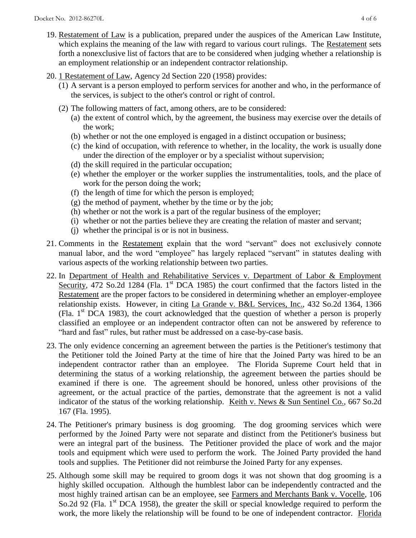- 19. Restatement of Law is a publication, prepared under the auspices of the American Law Institute, which explains the meaning of the law with regard to various court rulings. The Restatement sets forth a nonexclusive list of factors that are to be considered when judging whether a relationship is an employment relationship or an independent contractor relationship.
- 20. 1 Restatement of Law, Agency 2d Section 220 (1958) provides:
	- (1) A servant is a person employed to perform services for another and who, in the performance of the services, is subject to the other's control or right of control.
	- (2) The following matters of fact, among others, are to be considered:
		- (a) the extent of control which, by the agreement, the business may exercise over the details of the work;
		- (b) whether or not the one employed is engaged in a distinct occupation or business;
		- (c) the kind of occupation, with reference to whether, in the locality, the work is usually done under the direction of the employer or by a specialist without supervision;
		- (d) the skill required in the particular occupation;
		- (e) whether the employer or the worker supplies the instrumentalities, tools, and the place of work for the person doing the work;
		- (f) the length of time for which the person is employed;
		- (g) the method of payment, whether by the time or by the job;
		- (h) whether or not the work is a part of the regular business of the employer;
		- (i) whether or not the parties believe they are creating the relation of master and servant;
		- (j) whether the principal is or is not in business.
- 21. Comments in the Restatement explain that the word "servant" does not exclusively connote manual labor, and the word "employee" has largely replaced "servant" in statutes dealing with various aspects of the working relationship between two parties.
- 22. In Department of Health and Rehabilitative Services v. Department of Labor & Employment Security, 472 So.2d 1284 (Fla. 1<sup>st</sup> DCA 1985) the court confirmed that the factors listed in the Restatement are the proper factors to be considered in determining whether an employer-employee relationship exists. However, in citing La Grande v. B&L Services, Inc., 432 So.2d 1364, 1366 (Fla.  $1<sup>st</sup> DCA$  1983), the court acknowledged that the question of whether a person is properly classified an employee or an independent contractor often can not be answered by reference to "hard and fast" rules, but rather must be addressed on a case-by-case basis.
- 23. The only evidence concerning an agreement between the parties is the Petitioner's testimony that the Petitioner told the Joined Party at the time of hire that the Joined Party was hired to be an independent contractor rather than an employee. The Florida Supreme Court held that in determining the status of a working relationship, the agreement between the parties should be examined if there is one. The agreement should be honored, unless other provisions of the agreement, or the actual practice of the parties, demonstrate that the agreement is not a valid indicator of the status of the working relationship. Keith v. News & Sun Sentinel Co., 667 So.2d 167 (Fla. 1995).
- 24. The Petitioner's primary business is dog grooming. The dog grooming services which were performed by the Joined Party were not separate and distinct from the Petitioner's business but were an integral part of the business. The Petitioner provided the place of work and the major tools and equipment which were used to perform the work. The Joined Party provided the hand tools and supplies. The Petitioner did not reimburse the Joined Party for any expenses.
- 25. Although some skill may be required to groom dogs it was not shown that dog grooming is a highly skilled occupation. Although the humblest labor can be independently contracted and the most highly trained artisan can be an employee, see Farmers and Merchants Bank v. Vocelle, 106 So.2d 92 (Fla. 1<sup>st</sup> DCA 1958), the greater the skill or special knowledge required to perform the work, the more likely the relationship will be found to be one of independent contractor. Florida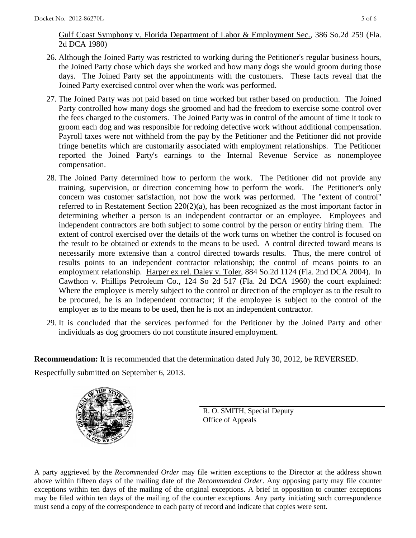Gulf Coast Symphony v. Florida Department of Labor & Employment Sec., 386 So.2d 259 (Fla. 2d DCA 1980)

- 26. Although the Joined Party was restricted to working during the Petitioner's regular business hours, the Joined Party chose which days she worked and how many dogs she would groom during those days. The Joined Party set the appointments with the customers. These facts reveal that the Joined Party exercised control over when the work was performed.
- 27. The Joined Party was not paid based on time worked but rather based on production. The Joined Party controlled how many dogs she groomed and had the freedom to exercise some control over the fees charged to the customers. The Joined Party was in control of the amount of time it took to groom each dog and was responsible for redoing defective work without additional compensation. Payroll taxes were not withheld from the pay by the Petitioner and the Petitioner did not provide fringe benefits which are customarily associated with employment relationships. The Petitioner reported the Joined Party's earnings to the Internal Revenue Service as nonemployee compensation.
- 28. The Joined Party determined how to perform the work. The Petitioner did not provide any training, supervision, or direction concerning how to perform the work. The Petitioner's only concern was customer satisfaction, not how the work was performed. The "extent of control" referred to in Restatement Section 220(2)(a), has been recognized as the most important factor in determining whether a person is an independent contractor or an employee. Employees and independent contractors are both subject to some control by the person or entity hiring them. The extent of control exercised over the details of the work turns on whether the control is focused on the result to be obtained or extends to the means to be used. A control directed toward means is necessarily more extensive than a control directed towards results. Thus, the mere control of results points to an independent contractor relationship; the control of means points to an employment relationship. Harper ex rel. Daley v. Toler, 884 So.2d 1124 (Fla. 2nd DCA 2004). In Cawthon v. Phillips Petroleum Co., 124 So 2d 517 (Fla. 2d DCA 1960) the court explained: Where the employee is merely subject to the control or direction of the employer as to the result to be procured, he is an independent contractor; if the employee is subject to the control of the employer as to the means to be used, then he is not an independent contractor.
- 29. It is concluded that the services performed for the Petitioner by the Joined Party and other individuals as dog groomers do not constitute insured employment.

**Recommendation:** It is recommended that the determination dated July 30, 2012, be REVERSED.

Respectfully submitted on September 6, 2013.



R. O. SMITH, Special Deputy Office of Appeals

A party aggrieved by the *Recommended Order* may file written exceptions to the Director at the address shown above within fifteen days of the mailing date of the *Recommended Order*. Any opposing party may file counter exceptions within ten days of the mailing of the original exceptions. A brief in opposition to counter exceptions may be filed within ten days of the mailing of the counter exceptions. Any party initiating such correspondence must send a copy of the correspondence to each party of record and indicate that copies were sent.